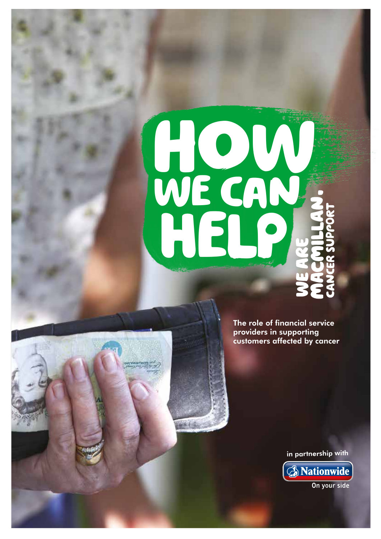# Howar help WE CAN.

**COLLEGE** 

**AHO** 

Silhouette and

Design area

The role of financial service providers in supporting customers affected by cancer

> in partnership with**A Nationwide** On your side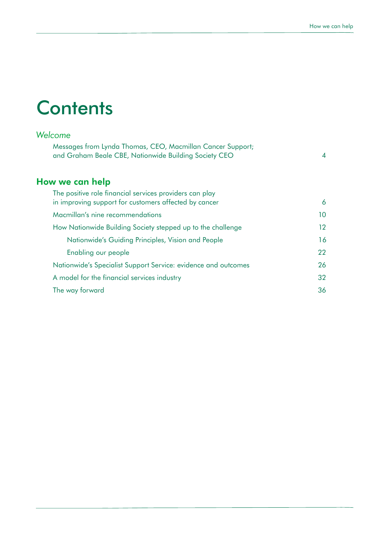### **Contents**

### *[Welcome](#page-2-0)*

| Messages from Lynda Thomas, CEO, Macmillan Cancer Support; |  |
|------------------------------------------------------------|--|
| and Graham Beale CBE, Nationwide Building Society CEO      |  |

### How we can help

| The positive role financial services providers can play<br>in improving support for customers affected by cancer | 6  |
|------------------------------------------------------------------------------------------------------------------|----|
| Macmillan's nine recommendations                                                                                 | 10 |
| How Nationwide Building Society stepped up to the challenge                                                      | 12 |
| Nationwide's Guiding Principles, Vision and People                                                               | 16 |
| Enabling our people                                                                                              | 22 |
| Nationwide's Specialist Support Service: evidence and outcomes                                                   | 26 |
| A model for the financial services industry                                                                      | 32 |
| The way forward                                                                                                  | 36 |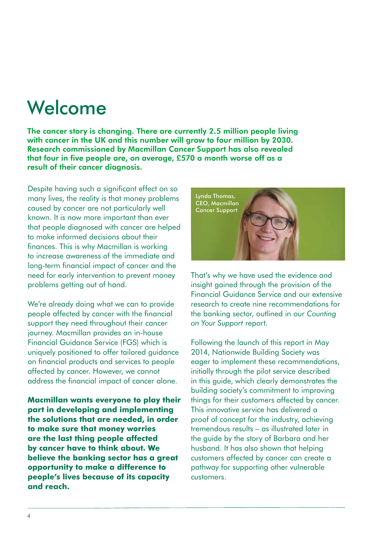### <span id="page-2-0"></span>Welcome

The cancer story is changing. There are currently 2.5 million people living with cancer in the UK and this number will arow to four million by 2030. Research commissioned by Macmillan Cancer Support has also revealed that four in five people are, on average, £570 a month worse off as a result of their cancer diagnosis.

Despite having such a significant effect on so many lives, the reality is that money problems caused by cancer are not particularly well known. It is now more important than ever that people diagnosed with cancer are helped to make informed decisions about their finances. This is why Macmillan is working to increase awareness of the immediate and long-term financial impact of cancer and the need for early intervention to prevent money problems getting out of hand.

We're already doing what we can to provide people affected by cancer with the financial support they need throughout their cancer journey. Macmillan provides an in-house Financial Guidance Service (FGS) which is uniquely positioned to offer tailored guidance on financial products and services to people affected by cancer. However, we cannot address the financial impact of cancer alone.

**Macmillan wants everyone to play their part in developing and implementing the solutions that are needed, in order to make sure that money worries are the last thing people affected by cancer have to think about. We believe the banking sector has a great opportunity to make a difference to people's lives because of its capacity and reach.** 



That's why we have used the evidence and insight gained through the provision of the Financial Guidance Service and our extensive research to create nine recommendations for the banking sector, outlined in our *Counting on Your Support* report.

Following the launch of this report in May 2014, Nationwide Building Society was eager to implement these recommendations, initially through the pilot service described in this guide, which clearly demonstrates the building society's commitment to improving things for their customers affected by cancer. This innovative service has delivered a proof of concept for the industry, achieving tremendous results – as illustrated later in the guide by the story of Barbara and her husband. It has also shown that helping customers affected by cancer can create a pathway for supporting other vulnerable customers.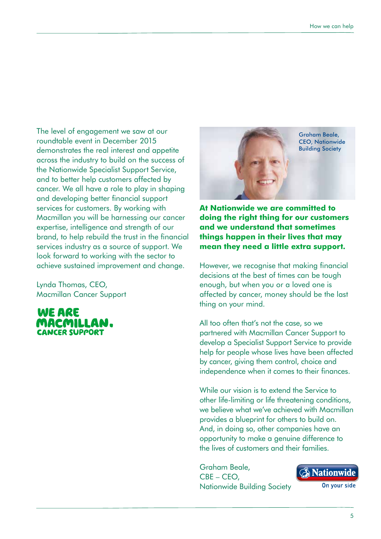The level of engagement we saw at our roundtable event in December 2015 demonstrates the real interest and appetite across the industry to build on the success of the Nationwide Specialist Support Service, and to better help customers affected by cancer. We all have a role to play in shaping and developing better financial support services for customers. By working with Macmillan you will be harnessing our cancer expertise, intelligence and strength of our brand, to help rebuild the trust in the financial services industry as a source of support. We look forward to working with the sector to achieve sustained improvement and change.

Lynda Thomas, CEO, Macmillan Cancer Support





Graham Beale, CEO, Nationwide Building Society

**At Nationwide we are committed to doing the right thing for our customers and we understand that sometimes things happen in their lives that may mean they need a little extra support.**

However, we recognise that making financial decisions at the best of times can be tough enough, but when you or a loved one is affected by cancer, money should be the last thing on your mind.

All too often that's not the case, so we partnered with Macmillan Cancer Support to develop a Specialist Support Service to provide help for people whose lives have been affected by cancer, giving them control, choice and independence when it comes to their finances.

While our vision is to extend the Service to other life-limiting or life threatening conditions, we believe what we've achieved with Macmillan provides a blueprint for others to build on. And, in doing so, other companies have an opportunity to make a genuine difference to the lives of customers and their families.

Graham Beale, CBE – CEO, Nationwide Building Society



On your side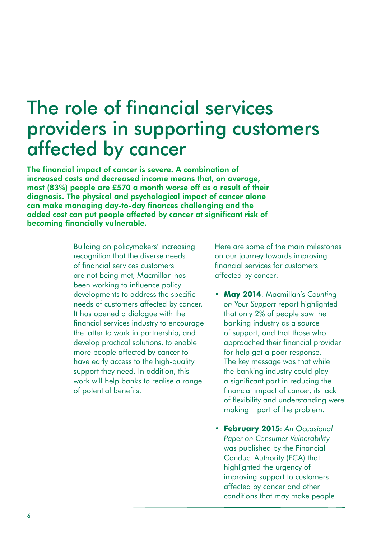### <span id="page-4-0"></span>The role of financial services providers in supporting customers affected by cancer

The financial impact of cancer is severe. A combination of increased costs and decreased income means that, on average, most (83%) people are £570 a month worse off as a result of their diagnosis. The physical and psychological impact of cancer alone can make managing day-to-day finances challenging and the added cost can put people affected by cancer at significant risk of becoming financially vulnerable.

> Building on policymakers' increasing recognition that the diverse needs of financial services customers are not being met, Macmillan has been working to influence policy developments to address the specific needs of customers affected by cancer. It has opened a dialogue with the financial services industry to encourage the latter to work in partnership, and develop practical solutions, to enable more people affected by cancer to have early access to the high-quality support they need. In addition, this work will help banks to realise a range of potential benefits.

Here are some of the main milestones on our journey towards improving financial services for customers affected by cancer:

- **May 2014**: Macmillan's *Counting on Your Support* report highlighted that only 2% of people saw the banking industry as a source of support, and that those who approached their financial provider for help got a poor response. The key message was that while the banking industry could play a significant part in reducing the financial impact of cancer, its lack of flexibility and understanding were making it part of the problem.
- **February 2015**: *An Occasional Paper on Consumer Vulnerability* was published by the Financial Conduct Authority (FCA) that highlighted the urgency of improving support to customers affected by cancer and other conditions that may make people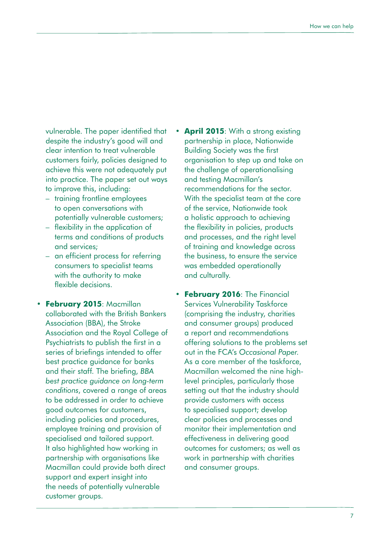vulnerable. The paper identified that despite the industry's good will and clear intention to treat vulnerable customers fairly, policies designed to achieve this were not adequately put into practice. The paper set out ways to improve this, including:

- training frontline employees to open conversations with potentially vulnerable customers;
- flexibility in the application of terms and conditions of products and services;
- an efficient process for referring consumers to specialist teams with the authority to make flexible decisions.
- **February 2015**: Macmillan collaborated with the British Bankers Association (BBA), the Stroke Association and the Royal College of Psychiatrists to publish the first in a series of briefings intended to offer best practice guidance for banks and their staff. The briefing, *BBA best practice guidance on long-term conditions*, covered a range of areas to be addressed in order to achieve good outcomes for customers, including policies and procedures, employee training and provision of specialised and tailored support. It also highlighted how working in partnership with organisations like Macmillan could provide both direct support and expert insight into the needs of potentially vulnerable customer groups.
- **April 2015**: With a strong existing partnership in place, Nationwide Building Society was the first organisation to step up and take on the challenge of operationalising and testing Macmillan's recommendations for the sector. With the specialist team at the core of the service, Nationwide took a holistic approach to achieving the flexibility in policies, products and processes, and the right level of training and knowledge across the business, to ensure the service was embedded operationally and culturally.
- **February 2016**: The Financial Services Vulnerability Taskforce (comprising the industry, charities and consumer groups) produced a report and recommendations offering solutions to the problems set out in the FCA's *Occasional Paper*. As a core member of the taskforce, Macmillan welcomed the nine highlevel principles, particularly those setting out that the industry should provide customers with access to specialised support; develop clear policies and processes and monitor their implementation and effectiveness in delivering good outcomes for customers; as well as work in partnership with charities and consumer groups.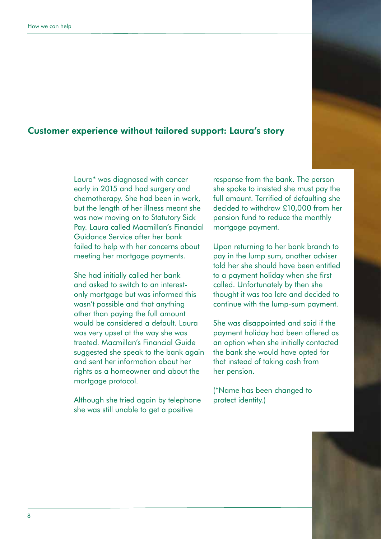### Customer experience without tailored support: Laura's story

Laura\* was diagnosed with cancer early in 2015 and had surgery and chemotherapy. She had been in work, but the length of her illness meant she was now moving on to Statutory Sick Pay. Laura called Macmillan's Financial Guidance Service after her bank failed to help with her concerns about meeting her mortgage payments.

She had initially called her bank and asked to switch to an interestonly mortgage but was informed this wasn't possible and that anything other than paying the full amount would be considered a default. Laura was very upset at the way she was treated. Macmillan's Financial Guide suggested she speak to the bank again and sent her information about her rights as a homeowner and about the mortgage protocol.

Although she tried again by telephone she was still unable to get a positive

response from the bank. The person she spoke to insisted she must pay the full amount. Terrified of defaulting she decided to withdraw £10,000 from her pension fund to reduce the monthly mortgage payment.

Upon returning to her bank branch to pay in the lump sum, another adviser told her she should have been entitled to a payment holiday when she first called. Unfortunately by then she thought it was too late and decided to continue with the lump-sum payment.

She was disappointed and said if the payment holiday had been offered as an option when she initially contacted the bank she would have opted for that instead of taking cash from her pension.

(\*Name has been changed to protect identity.)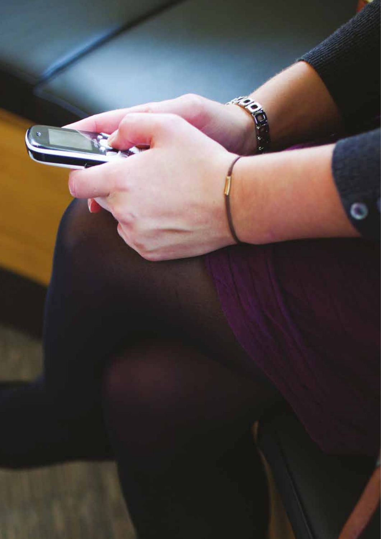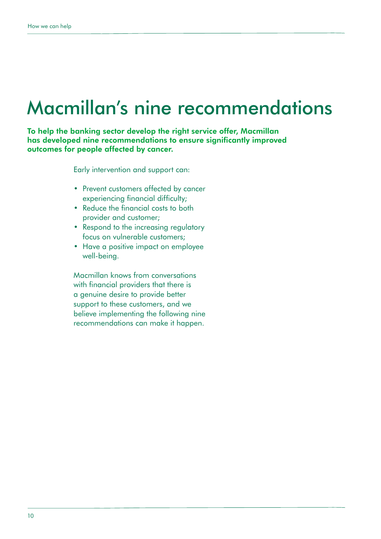### <span id="page-8-0"></span>Macmillan's nine recommendations

To help the banking sector develop the right service offer, Macmillan has developed nine recommendations to ensure significantly improved outcomes for people affected by cancer.

Early intervention and support can:

- Prevent customers affected by cancer experiencing financial difficulty;
- Reduce the financial costs to both provider and customer;
- Respond to the increasing regulatory focus on vulnerable customers;
- Have a positive impact on employee well-being.

Macmillan knows from conversations with financial providers that there is a genuine desire to provide better support to these customers, and we believe implementing the following nine recommendations can make it happen.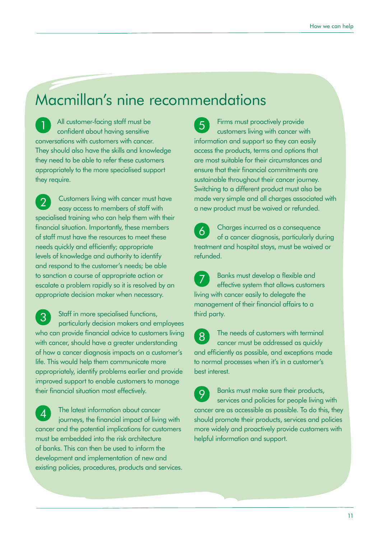### Macmillan's nine recommendations

All customer-facing staff must be confident about having sensitive conversations with customers with cancer. They should also have the skills and knowledge they need to be able to refer these customers appropriately to the more specialised support they require.

Customers living with cancer must have easy access to members of staff with specialised training who can help them with their financial situation. Importantly, these members of staff must have the resources to meet these needs quickly and efficiently; appropriate levels of knowledge and authority to identify and respond to the customer's needs; be able to sanction a course of appropriate action or escalate a problem rapidly so it is resolved by an appropriate decision maker when necessary.

3 Staff in more specialised functions, particularly decision makers and employees who can provide financial advice to customers living with cancer, should have a greater understanding of how a cancer diagnosis impacts on a customer's life. This would help them communicate more appropriately, identify problems earlier and provide improved support to enable customers to manage their financial situation most effectively.

The latest information about cancer journeys, the financial impact of living with cancer and the potential implications for customers must be embedded into the risk architecture of banks. This can then be used to inform the development and implementation of new and existing policies, procedures, products and services.

**5** Firms must proactively provide customers living with cancer with information and support so they can easily access the products, terms and options that are most suitable for their circumstances and ensure that their financial commitments are sustainable throughout their cancer journey. Switching to a different product must also be made very simple and all charges associated with a new product must be waived or refunded.

6 Charges incurred as a consequence of a cancer diagnosis, particularly during treatment and hospital stays, must be waived or refunded.

Banks must develop a flexible and effective system that allows customers living with cancer easily to delegate the management of their financial affairs to a third party.

8 The needs of customers with terminal cancer must be addressed as quickly and efficiently as possible, and exceptions made to normal processes when it's in a customer's best interest.

9 Banks must make sure their products, services and policies for people living with cancer are as accessible as possible. To do this, they should promote their products, services and policies more widely and proactively provide customers with helpful information and support.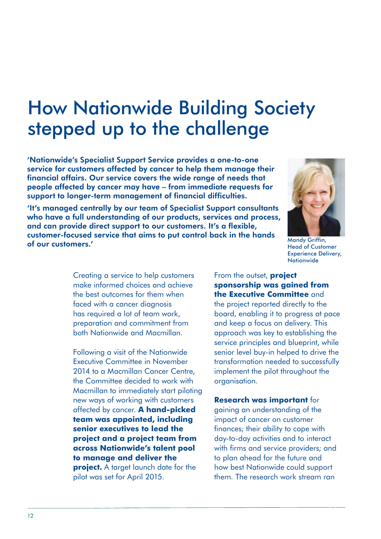### <span id="page-10-0"></span>How Nationwide Building Society stepped up to the challenge

'Nationwide's Specialist Support Service provides a one-to-one service for customers affected by cancer to help them manage their financial affairs. Our service covers the wide range of needs that people affected by cancer may have – from immediate requests for support to longer-term management of financial difficulties.

'It's managed centrally by our team of Specialist Support consultants who have a full understanding of our products, services and process, and can provide direct support to our customers. It's a flexible, customer-focused service that aims to put control back in the hands of our customers.'



Mandy Griffin, Head of Customer Experience Delivery, **Nationwide** 

Creating a service to help customers make informed choices and achieve the best outcomes for them when faced with a cancer diagnosis has required a lot of team work, preparation and commitment from both Nationwide and Macmillan.

Following a visit of the Nationwide Executive Committee in November 2014 to a Macmillan Cancer Centre, the Committee decided to work with Macmillan to immediately start piloting new ways of working with customers affected by cancer. **A hand-picked team was appointed, including senior executives to lead the project and a project team from across Nationwide's talent pool to manage and deliver the project.** A target launch date for the pilot was set for April 2015.

#### From the outset, **project sponsorship was gained from the Executive Committee** and

the project reported directly to the board, enabling it to progress at pace and keep a focus on delivery. This approach was key to establishing the service principles and blueprint, while senior level buy-in helped to drive the transformation needed to successfully implement the pilot throughout the organisation.

#### **Research was important** for gaining an understanding of the impact of cancer on customer finances; their ability to cope with day-to-day activities and to interact with firms and service providers; and to plan ahead for the future and how best Nationwide could support them. The research work stream ran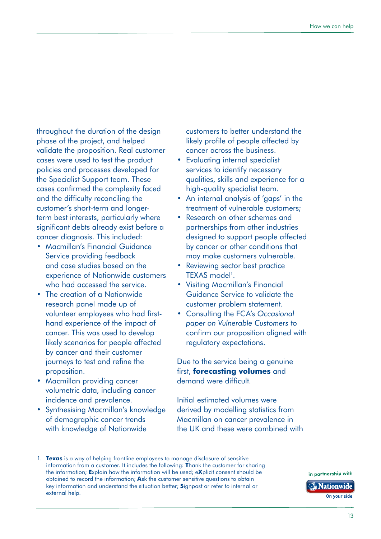throughout the duration of the design phase of the project, and helped validate the proposition. Real customer cases were used to test the product policies and processes developed for the Specialist Support team. These cases confirmed the complexity faced and the difficulty reconciling the customer's short-term and longerterm best interests, particularly where significant debts already exist before a cancer diagnosis. This included:

- Macmillan's Financial Guidance Service providing feedback and case studies based on the experience of Nationwide customers who had accessed the service.
- The creation of a Nationwide research panel made up of volunteer employees who had firsthand experience of the impact of cancer. This was used to develop likely scenarios for people affected by cancer and their customer journeys to test and refine the proposition.
- Macmillan providing cancer volumetric data, including cancer incidence and prevalence.
- Synthesising Macmillan's knowledge of demographic cancer trends with knowledge of Nationwide

customers to better understand the likely profile of people affected by cancer across the business.

- Evaluating internal specialist services to identify necessary qualities, skills and experience for a high-quality specialist team.
- An internal analysis of 'gaps' in the treatment of vulnerable customers;
- Research on other schemes and partnerships from other industries designed to support people affected by cancer or other conditions that may make customers vulnerable.
- Reviewing sector best practice TEXAS model<sup>1</sup>.
- Visiting Macmillan's Financial Guidance Service to validate the customer problem statement.
- Consulting the FCA's *Occasional paper on Vulnerable Customers* to confirm our proposition aligned with regulatory expectations.

Due to the service being a genuine first, **forecasting volumes** and demand were difficult.

Initial estimated volumes were derived by modelling statistics from Macmillan on cancer prevalence in the UK and these were combined with

1. **Texas** is a way of helping frontline employees to manage disclosure of sensitive information from a customer. It includes the following: **T**hank the customer for sharing the information; **E**xplain how the information will be used; e**X**plicit consent should be obtained to record the information; **A**sk the customer sensitive questions to obtain key information and understand the situation better; **S**ignpost or refer to internal or external help.

in partnership with**A** Nationwide On your side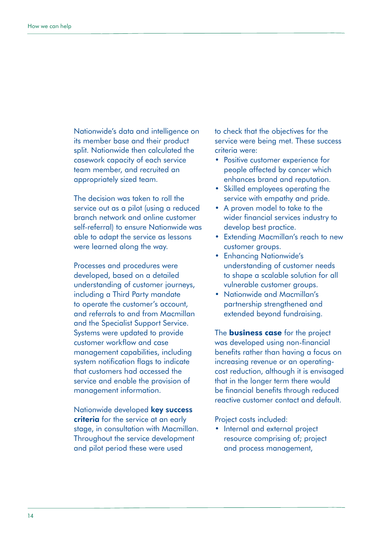Nationwide's data and intelligence on its member base and their product split. Nationwide then calculated the casework capacity of each service team member, and recruited an appropriately sized team.

The decision was taken to roll the service out as a pilot (using a reduced branch network and online customer self-referral) to ensure Nationwide was able to adapt the service as lessons were learned along the way.

Processes and procedures were developed, based on a detailed understanding of customer journeys, including a Third Party mandate to operate the customer's account, and referrals to and from Macmillan and the Specialist Support Service. Systems were updated to provide customer workflow and case management capabilities, including system notification flags to indicate that customers had accessed the service and enable the provision of management information.

Nationwide developed key success criteria for the service at an early stage, in consultation with Macmillan. Throughout the service development and pilot period these were used

to check that the objectives for the service were being met. These success criteria were:

- Positive customer experience for people affected by cancer which enhances brand and reputation.
- Skilled employees operating the service with empathy and pride.
- A proven model to take to the wider financial services industry to develop best practice.
- Extending Macmillan's reach to new customer groups.
- Enhancing Nationwide's understanding of customer needs to shape a scalable solution for all vulnerable customer groups.
- Nationwide and Macmillan's partnership strengthened and extended beyond fundraising.

The **business case** for the project was developed using non-financial benefits rather than having a focus on increasing revenue or an operatingcost reduction, although it is envisaged that in the longer term there would be financial benefits through reduced reactive customer contact and default.

Project costs included:

• Internal and external project resource comprising of; project and process management,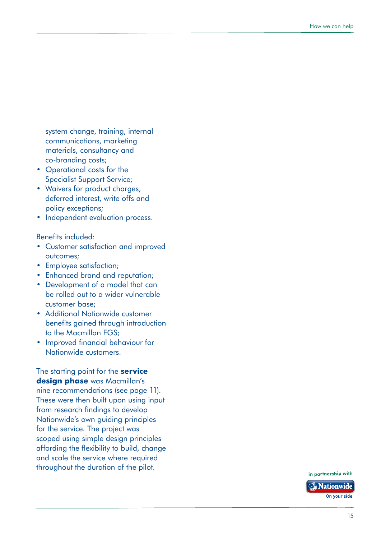system change, training, internal communications, marketing materials, consultancy and co-branding costs;

- Operational costs for the Specialist Support Service;
- Waivers for product charges, deferred interest, write offs and policy exceptions;
- Independent evaluation process.

Benefits included:

- Customer satisfaction and improved outcomes;
- Employee satisfaction;
- Enhanced brand and reputation;
- Development of a model that can be rolled out to a wider vulnerable customer base;
- Additional Nationwide customer benefits gained through introduction to the Macmillan FGS;
- Improved financial behaviour for Nationwide customers.

The starting point for the **service design phase** was Macmillan's nine recommendations (see page 11). These were then built upon using input from research findings to develop Nationwide's own guiding principles for the service. The project was scoped using simple design principles affording the flexibility to build, change and scale the service where required throughout the duration of the pilot.

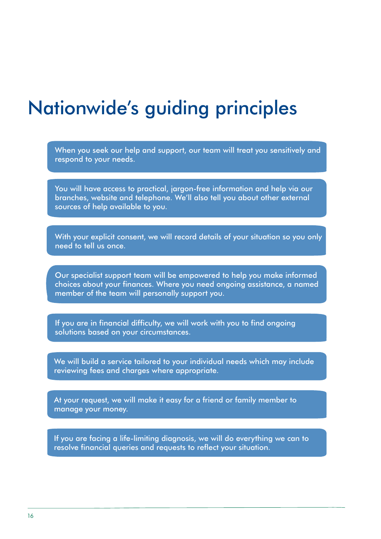## <span id="page-14-0"></span>Nationwide's guiding principles

When you seek our help and support, our team will treat you sensitively and respond to your needs.

You will have access to practical, jargon-free information and help via our branches, website and telephone. We'll also tell you about other external sources of help available to you.

With your explicit consent, we will record details of your situation so you only need to tell us once.

Our specialist support team will be empowered to help you make informed choices about your finances. Where you need ongoing assistance, a named member of the team will personally support you.

If you are in financial difficulty, we will work with you to find ongoing solutions based on your circumstances.

We will build a service tailored to your individual needs which may include reviewing fees and charges where appropriate.

At your request, we will make it easy for a friend or family member to manage your money.

If you are facing a life-limiting diagnosis, we will do everything we can to resolve financial queries and requests to reflect your situation.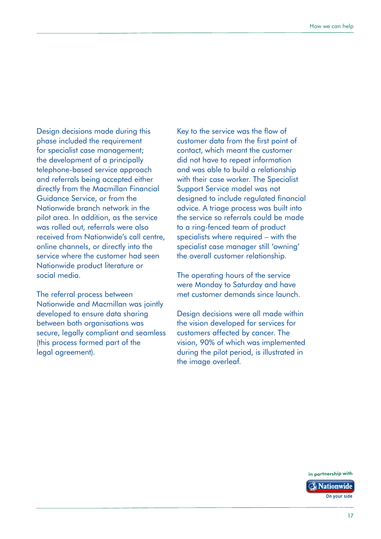Design decisions made during this phase included the requirement for specialist case management; the development of a principally telephone-based service approach and referrals being accepted either directly from the Macmillan Financial Guidance Service, or from the Nationwide branch network in the pilot area. In addition, as the service was rolled out, referrals were also received from Nationwide's call centre, online channels, or directly into the service where the customer had seen Nationwide product literature or social media.

The referral process between Nationwide and Macmillan was jointly developed to ensure data sharing between both organisations was secure, legally compliant and seamless (this process formed part of the legal agreement).

Key to the service was the flow of customer data from the first point of contact, which meant the customer did not have to repeat information and was able to build a relationship with their case worker. The Specialist Support Service model was not designed to include regulated financial advice. A triage process was built into the service so referrals could be made to a ring-fenced team of product specialists where required – with the specialist case manager still 'owning' the overall customer relationship.

The operating hours of the service were Monday to Saturday and have met customer demands since launch.

Design decisions were all made within the vision developed for services for customers affected by cancer. The vision, 90% of which was implemented during the pilot period, is illustrated in the image overleaf.

> in partnership with**A** Nationwide On your side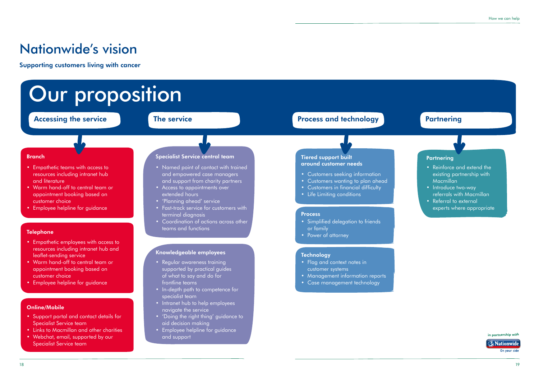- Reinforce and extend the existing partnership with Macmillan
- Introduce two-way referrals with Macmillan
- Referral to external experts where appropriate



## Nationwide's vision

#### **Partnering**

Supporting customers living with cancer

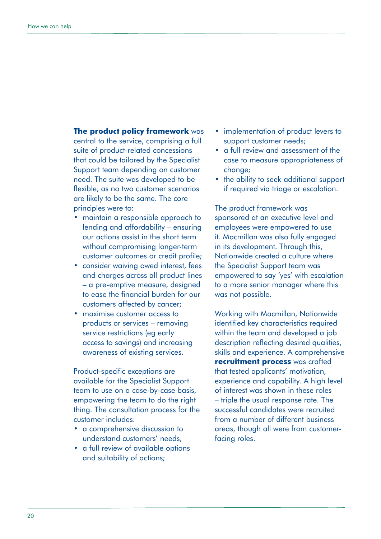**The product policy framework** was central to the service, comprising a full suite of product-related concessions that could be tailored by the Specialist Support team depending on customer need. The suite was developed to be flexible, as no two customer scenarios are likely to be the same. The core principles were to:

- maintain a responsible approach to lending and affordability – ensuring our actions assist in the short term without compromising longer-term customer outcomes or credit profile;
- consider waiving owed interest, fees and charges across all product lines – a pre-emptive measure, designed to ease the financial burden for our customers affected by cancer;
- maximise customer access to products or services – removing service restrictions (eg early access to savings) and increasing awareness of existing services.

Product-specific exceptions are available for the Specialist Support team to use on a case-by-case basis, empowering the team to do the right thing. The consultation process for the customer includes:

- a comprehensive discussion to understand customers' needs;
- a full review of available options and suitability of actions;
- implementation of product levers to support customer needs;
- a full review and assessment of the case to measure appropriateness of change;
- the ability to seek additional support if required via triage or escalation.

The product framework was sponsored at an executive level and employees were empowered to use it. Macmillan was also fully engaged in its development. Through this, Nationwide created a culture where the Specialist Support team was empowered to say 'yes' with escalation to a more senior manager where this was not possible.

Working with Macmillan, Nationwide identified key characteristics required within the team and developed a job description reflecting desired qualities, skills and experience. A comprehensive **recruitment process** was crafted that tested applicants' motivation, experience and capability. A high level of interest was shown in these roles – triple the usual response rate. The successful candidates were recruited from a number of different business areas, though all were from customerfacing roles.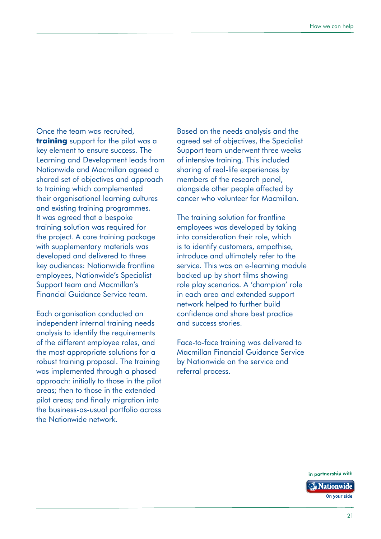Once the team was recruited, **training** support for the pilot was a key element to ensure success. The Learning and Development leads from Nationwide and Macmillan agreed a shared set of objectives and approach to training which complemented their organisational learning cultures and existing training programmes. It was agreed that a bespoke training solution was required for the project. A core training package with supplementary materials was developed and delivered to three key audiences: Nationwide frontline employees, Nationwide's Specialist Support team and Macmillan's Financial Guidance Service team.

Each organisation conducted an independent internal training needs analysis to identify the requirements of the different employee roles, and the most appropriate solutions for a robust training proposal. The training was implemented through a phased approach: initially to those in the pilot areas; then to those in the extended pilot areas; and finally migration into the business-as-usual portfolio across the Nationwide network.

Based on the needs analysis and the agreed set of objectives, the Specialist Support team underwent three weeks of intensive training. This included sharing of real-life experiences by members of the research panel, alongside other people affected by cancer who volunteer for Macmillan.

The training solution for frontline employees was developed by taking into consideration their role, which is to identify customers, empathise, introduce and ultimately refer to the service. This was an e-learning module backed up by short films showing role play scenarios. A 'champion' role in each area and extended support network helped to further build confidence and share best practice and success stories.

Face-to-face training was delivered to Macmillan Financial Guidance Service by Nationwide on the service and referral process.

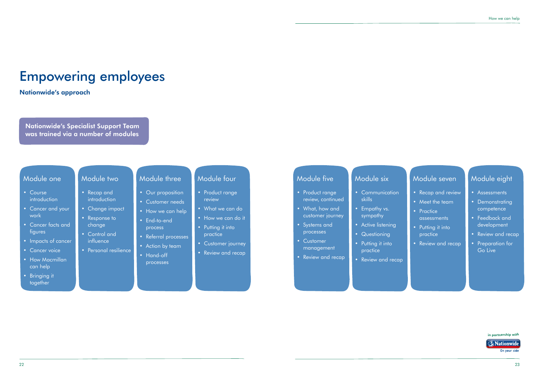### <span id="page-19-0"></span>Empowering employees

### Module one

- Course introduction
- Cancer and your work
- Cancer facts and figures
- Impacts of cancer
- Cancer voice
- How Macmillan can help
- Bringing it together

### Module five

- Product range review, continued
- What, how and customer journey
- Systems and processes
- Customer management
- Review and recap
- Recap and introduction
- Change impact
- Response to change
- Control and influence
- Personal resilience
- Customer needs • How we can help

Module three

• Our proposition

- End-to-end process
- Referral processes
	- Action by team
	- Hand-off processes

### Module seven

- Recap and review
- Meet the team
- Practice assessments
- Putting it into practice
- Review and recap

### Module two

- Module six
- Communication skills
- Empathy vs. sympathy
- Active listening
- Questioning
- Putting it into practice
- Review and recap

### Module four

- Product range review
- What we can do
- How we can do it
- Putting it into practice
- Customer journey
- Review and recap

### Module eight

- Assessments
- Demonstrating competence
- Feedback and development
- Review and recap
- Preparation for Go Live

Nationwide's Specialist Support Team was trained via a number of modules

### Nationwide's approach

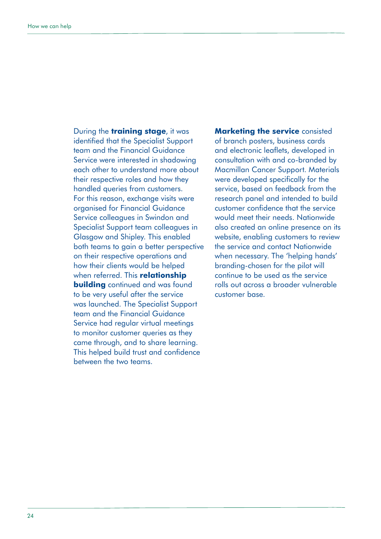During the **training stage**, it was identified that the Specialist Support team and the Financial Guidance Service were interested in shadowing each other to understand more about their respective roles and how they handled queries from customers. For this reason, exchange visits were organised for Financial Guidance Service colleagues in Swindon and Specialist Support team colleagues in Glasgow and Shipley. This enabled both teams to gain a better perspective on their respective operations and how their clients would be helped when referred. This **relationship building** continued and was found to be very useful after the service was launched. The Specialist Support team and the Financial Guidance Service had regular virtual meetings to monitor customer queries as they came through, and to share learning. This helped build trust and confidence between the two teams.

**Marketing the service** consisted of branch posters, business cards and electronic leaflets, developed in consultation with and co-branded by Macmillan Cancer Support. Materials were developed specifically for the service, based on feedback from the research panel and intended to build customer confidence that the service would meet their needs. Nationwide also created an online presence on its website, enabling customers to review the service and contact Nationwide when necessary. The 'helping hands' branding-chosen for the pilot will continue to be used as the service rolls out across a broader vulnerable customer base.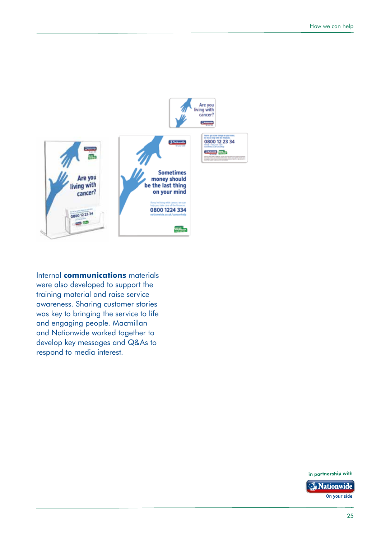

Internal **communications** materials were also developed to support the training material and raise service awareness. Sharing customer stories was key to bringing the service to life and engaging people. Macmillan and Nationwide worked together to develop key messages and Q&As to respond to media interest.

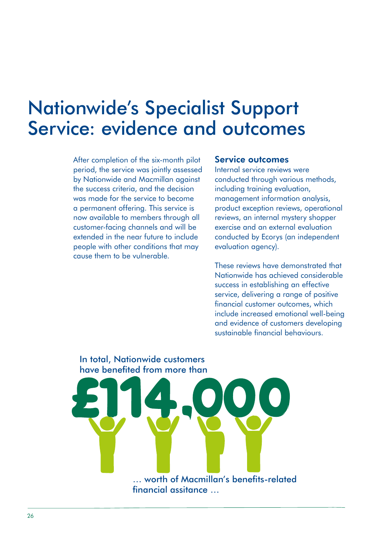### <span id="page-22-0"></span>Nationwide's Specialist Support Service: evidence and outcomes

After completion of the six-month pilot period, the service was jointly assessed by Nationwide and Macmillan against the success criteria, and the decision was made for the service to become a permanent offering. This service is now available to members through all customer-facing channels and will be extended in the near future to include people with other conditions that may cause them to be vulnerable.

#### Service outcomes

Internal service reviews were conducted through various methods, including training evaluation, management information analysis, product exception reviews, operational reviews, an internal mystery shopper exercise and an external evaluation conducted by Ecorys (an independent evaluation agency).

These reviews have demonstrated that Nationwide has achieved considerable success in establishing an effective service, delivering a range of positive financial customer outcomes, which include increased emotional well-being and evidence of customers developing sustainable financial behaviours.

#### In total, Nationwide customers have benefited from more than

… worth of Macmillan's benefits-related financial assitance …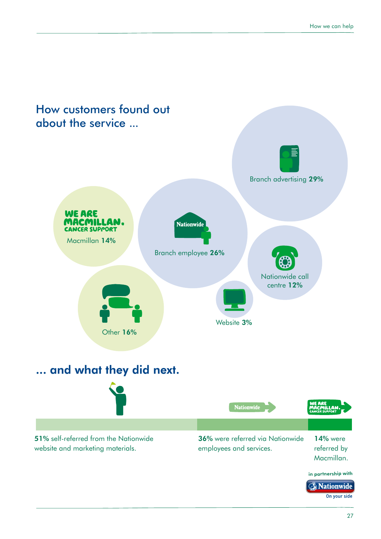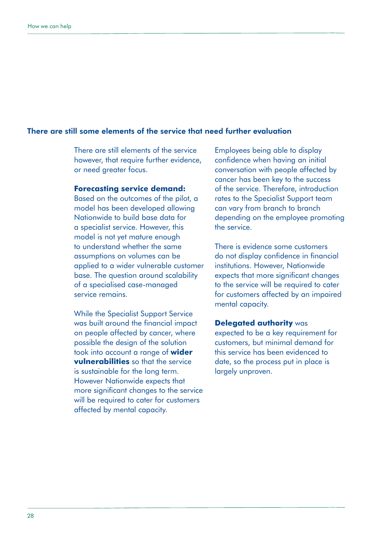#### There are still some elements of the service that need further evaluation

There are still elements of the service however, that require further evidence, or need greater focus.

#### **Forecasting service demand:**

Based on the outcomes of the pilot, a model has been developed allowing Nationwide to build base data for a specialist service. However, this model is not yet mature enough to understand whether the same assumptions on volumes can be applied to a wider vulnerable customer base. The question around scalability of a specialised case-managed service remains.

While the Specialist Support Service was built around the financial impact on people affected by cancer, where possible the design of the solution took into account a range of **wider vulnerabilities** so that the service is sustainable for the long term. However Nationwide expects that more significant changes to the service will be required to cater for customers affected by mental capacity.

Employees being able to display confidence when having an initial conversation with people affected by cancer has been key to the success of the service. Therefore, introduction rates to the Specialist Support team can vary from branch to branch depending on the employee promoting the service.

There is evidence some customers do not display confidence in financial institutions. However, Nationwide expects that more significant changes to the service will be required to cater for customers affected by an impaired mental capacity.

#### **Delegated authority** was expected to be a key requirement for customers, but minimal demand for this service has been evidenced to date, so the process put in place is largely unproven.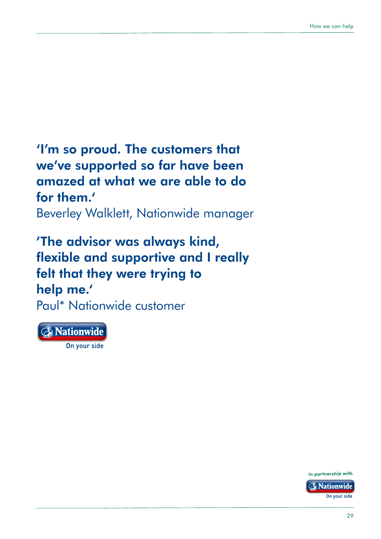### 'I'm so proud. The customers that we've supported so far have been amazed at what we are able to do for them.'

Beverley Walklett, Nationwide manager

### 'The advisor was always kind, flexible and supportive and I really felt that they were trying to help me.'

Paul\* Nationwide customer



in partnership with**A** Nationwide On your side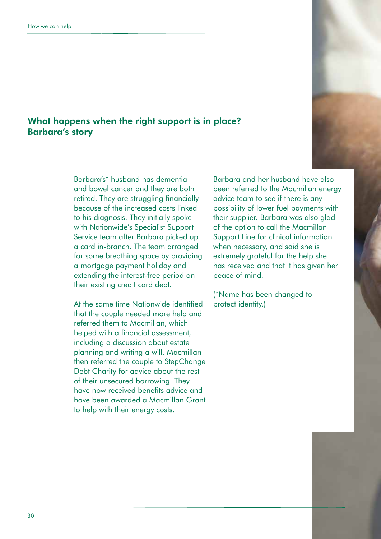

#### What happens when the right support is in place? Barbara's story

Barbara's\* husband has dementia and bowel cancer and they are both retired. They are struggling financially because of the increased costs linked to his diagnosis. They initially spoke with Nationwide's Specialist Support Service team after Barbara picked up a card in-branch. The team arranged for some breathing space by providing a mortgage payment holiday and extending the interest-free period on their existing credit card debt.

At the same time Nationwide identified that the couple needed more help and referred them to Macmillan, which helped with a financial assessment, including a discussion about estate planning and writing a will. Macmillan then referred the couple to StepChange Debt Charity for advice about the rest of their unsecured borrowing. They have now received benefits advice and have been awarded a Macmillan Grant to help with their energy costs.

Barbara and her husband have also been referred to the Macmillan energy advice team to see if there is any possibility of lower fuel payments with their supplier. Barbara was also glad of the option to call the Macmillan Support Line for clinical information when necessary, and said she is extremely grateful for the help she has received and that it has given her peace of mind.

(\*Name has been changed to protect identity.)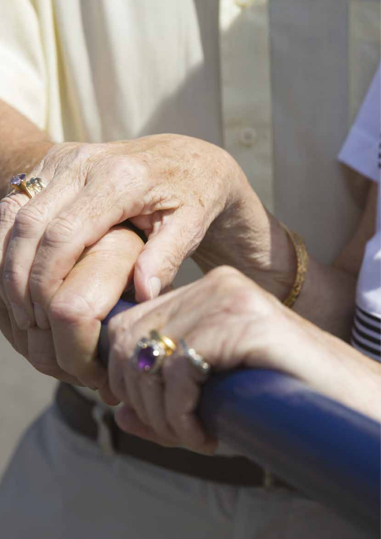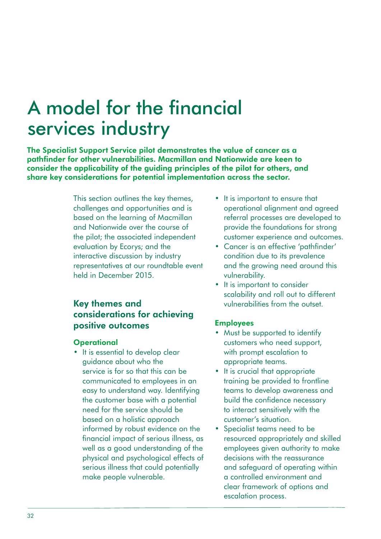### <span id="page-28-0"></span>A model for the financial services industry

The Specialist Support Service pilot demonstrates the value of cancer as a pathfinder for other vulnerabilities. Macmillan and Nationwide are keen to consider the applicability of the guiding principles of the pilot for others, and share key considerations for potential implementation across the sector.

> This section outlines the key themes, challenges and opportunities and is based on the learning of Macmillan and Nationwide over the course of the pilot; the associated independent evaluation by Ecorys; and the interactive discussion by industry representatives at our roundtable event held in December 2015.

### Key themes and considerations for achieving positive outcomes

#### **Operational**

• It is essential to develop clear guidance about who the service is for so that this can be communicated to employees in an easy to understand way. Identifying the customer base with a potential need for the service should be based on a holistic approach informed by robust evidence on the financial impact of serious illness, as well as a good understanding of the physical and psychological effects of serious illness that could potentially make people vulnerable.

- It is important to ensure that operational alignment and agreed referral processes are developed to provide the foundations for strong customer experience and outcomes.
- Cancer is an effective 'pathfinder' condition due to its prevalence and the growing need around this vulnerability.
- It is important to consider scalability and roll out to different vulnerabilities from the outset.

#### Employees

- Must be supported to identify customers who need support, with prompt escalation to appropriate teams.
- It is crucial that appropriate training be provided to frontline teams to develop awareness and build the confidence necessary to interact sensitively with the customer's situation.
- Specialist teams need to be resourced appropriately and skilled employees given authority to make decisions with the reassurance and safeguard of operating within a controlled environment and clear framework of options and escalation process.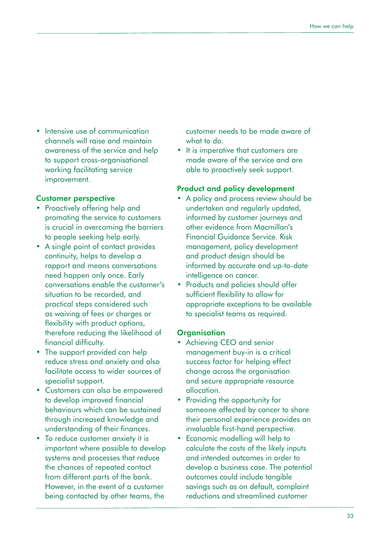• Intensive use of communication channels will raise and maintain awareness of the service and help to support cross-organisational working facilitating service improvement.

#### Customer perspective

- Proactively offering help and promoting the service to customers is crucial in overcoming the barriers to people seeking help early.
- A single point of contact provides continuity, helps to develop a rapport and means conversations need happen only once. Early conversations enable the customer's situation to be recorded, and practical steps considered such as waiving of fees or charges or flexibility with product options, therefore reducing the likelihood of financial difficulty.
- The support provided can help reduce stress and anxiety and also facilitate access to wider sources of specialist support.
- Customers can also be empowered to develop improved financial behaviours which can be sustained through increased knowledge and understanding of their finances.
- To reduce customer anxiety it is important where possible to develop systems and processes that reduce the chances of repeated contact from different parts of the bank. However, in the event of a customer being contacted by other teams, the

customer needs to be made aware of what to do.

• It is imperative that customers are made aware of the service and are able to proactively seek support.

#### Product and policy development

- A policy and process review should be undertaken and regularly updated, informed by customer journeys and other evidence from Macmillan's Financial Guidance Service. Risk management, policy development and product design should be informed by accurate and up-to-date intelligence on cancer.
- Products and policies should offer sufficient flexibility to allow for appropriate exceptions to be available to specialist teams as required.

#### **Organisation**

- Achieving CEO and senior management buy-in is a critical success factor for helping effect change across the organisation and secure appropriate resource allocation.
- Providing the opportunity for someone affected by cancer to share their personal experience provides an invaluable first-hand perspective.
- Economic modelling will help to calculate the costs of the likely inputs and intended outcomes in order to develop a business case. The potential outcomes could include tangible savings such as on default, complaint reductions and streamlined customer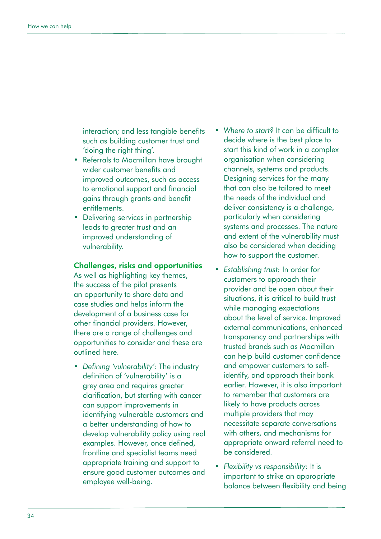interaction; and less tangible benefits such as building customer trust and 'doing the right thing'.

- Referrals to Macmillan have brought wider customer benefits and improved outcomes, such as access to emotional support and financial gains through grants and benefit entitlements.
- Delivering services in partnership leads to greater trust and an improved understanding of vulnerability.

#### Challenges, risks and opportunities

As well as highlighting key themes, the success of the pilot presents an opportunity to share data and case studies and helps inform the development of a business case for other financial providers. However, there are a range of challenges and opportunities to consider and these are outlined here.

*• Defining 'vulnerability'*: The industry definition of 'vulnerability' is a grey area and requires greater clarification, but starting with cancer can support improvements in identifying vulnerable customers and a better understanding of how to develop vulnerability policy using real examples. However, once defined, frontline and specialist teams need appropriate training and support to ensure good customer outcomes and employee well-being.

- *• Where to start?* It can be difficult to decide where is the best place to start this kind of work in a complex organisation when considering channels, systems and products. Designing services for the many that can also be tailored to meet the needs of the individual and deliver consistency is a challenge, particularly when considering systems and processes. The nature and extent of the vulnerability must also be considered when deciding how to support the customer.
- *• Establishing trust:* In order for customers to approach their provider and be open about their situations, it is critical to build trust while managing expectations about the level of service. Improved external communications, enhanced transparency and partnerships with trusted brands such as Macmillan can help build customer confidence and empower customers to selfidentify, and approach their bank earlier. However, it is also important to remember that customers are likely to have products across multiple providers that may necessitate separate conversations with others, and mechanisms for appropriate onward referral need to be considered.
- *Flexibility vs responsibility*: It is important to strike an appropriate balance between flexibility and being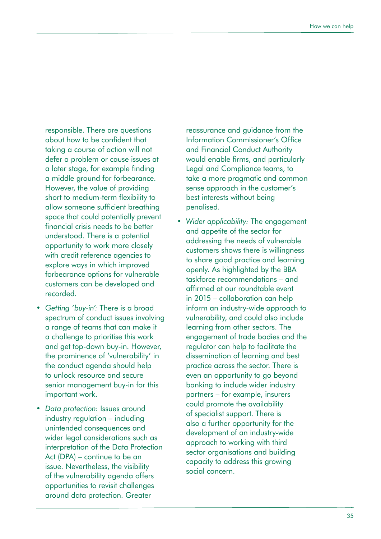responsible. There are questions about how to be confident that taking a course of action will not defer a problem or cause issues at a later stage, for example finding a middle ground for forbearance. However, the value of providing short to medium-term flexibility to allow someone sufficient breathing space that could potentially prevent financial crisis needs to be better understood. There is a potential opportunity to work more closely with credit reference agencies to explore ways in which improved forbearance options for vulnerable customers can be developed and recorded.

- *• Getting 'buy-in':* There is a broad spectrum of conduct issues involving a range of teams that can make it a challenge to prioritise this work and get top-down buy-in. However, the prominence of 'vulnerability' in the conduct agenda should help to unlock resource and secure senior management buy-in for this important work.
- *Data protection*: Issues around industry regulation – including unintended consequences and wider legal considerations such as interpretation of the Data Protection Act (DPA) – continue to be an issue. Nevertheless, the visibility of the vulnerability agenda offers opportunities to revisit challenges around data protection. Greater

reassurance and guidance from the Information Commissioner's Office and Financial Conduct Authority would enable firms, and particularly Legal and Compliance teams, to take a more pragmatic and common sense approach in the customer's best interests without being penalised.

*• Wider applicability:* The engagement and appetite of the sector for addressing the needs of vulnerable customers shows there is willingness to share good practice and learning openly. As highlighted by the BBA taskforce recommendations – and affirmed at our roundtable event in 2015 – collaboration can help inform an industry-wide approach to vulnerability, and could also include learning from other sectors. The engagement of trade bodies and the regulator can help to facilitate the dissemination of learning and best practice across the sector. There is even an opportunity to go beyond banking to include wider industry partners – for example, insurers could promote the availability of specialist support. There is also a further opportunity for the development of an industry-wide approach to working with third sector organisations and building capacity to address this growing social concern.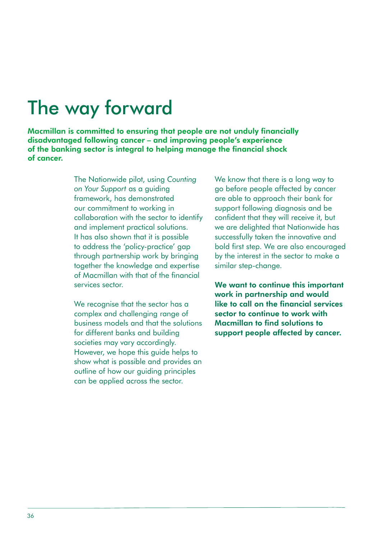### <span id="page-32-0"></span>The way forward

Macmillan is committed to ensuring that people are not unduly financially disadvantaged following cancer – and improving people's experience of the banking sector is integral to helping manage the financial shock of cancer.

> The Nationwide pilot, using *Counting on Your Support* as a guiding framework, has demonstrated our commitment to working in collaboration with the sector to identify and implement practical solutions. It has also shown that it is possible to address the 'policy-practice' gap through partnership work by bringing together the knowledge and expertise of Macmillan with that of the financial services sector.

> We recognise that the sector has a complex and challenging range of business models and that the solutions for different banks and building societies may vary accordingly. However, we hope this guide helps to show what is possible and provides an outline of how our guiding principles can be applied across the sector.

We know that there is a long way to go before people affected by cancer are able to approach their bank for support following diagnosis and be confident that they will receive it, but we are delighted that Nationwide has successfully taken the innovative and bold first step. We are also encouraged by the interest in the sector to make a similar step-change.

We want to continue this important work in partnership and would like to call on the financial services sector to continue to work with Macmillan to find solutions to support people affected by cancer.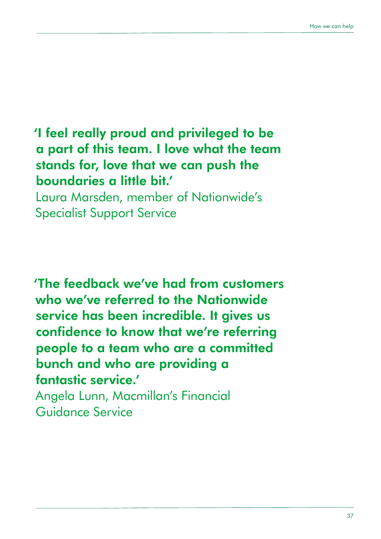### 'I feel really proud and privileged to be a part of this team. I love what the team stands for, love that we can push the boundaries a little bit.'

Laura Marsden, member of Nationwide's Specialist Support Service

'The feedback we've had from customers who we've referred to the Nationwide service has been incredible. It gives us confidence to know that we're referring people to a team who are a committed bunch and who are providing a fantastic service.'

Angela Lunn, Macmillan's Financial Guidance Service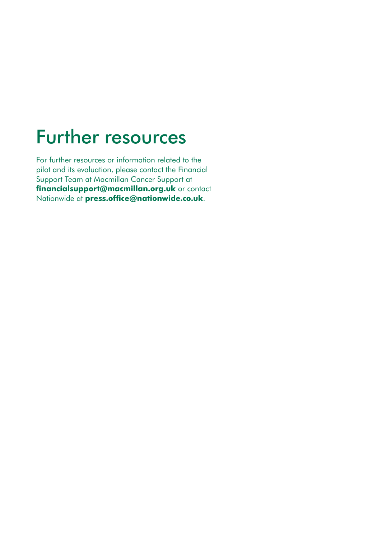### Further resources

For further resources or information related to the pilot and its evaluation, please contact the Financial Support Team at Macmillan Cancer Support at **[financialsupport@macmillan.org.uk](mailto:financialsupport@macmillan.org.uk)** or contact Nationwide at **[press.office@nationwide.co.uk](mailto:press.office@nationwide.co.uk)**.